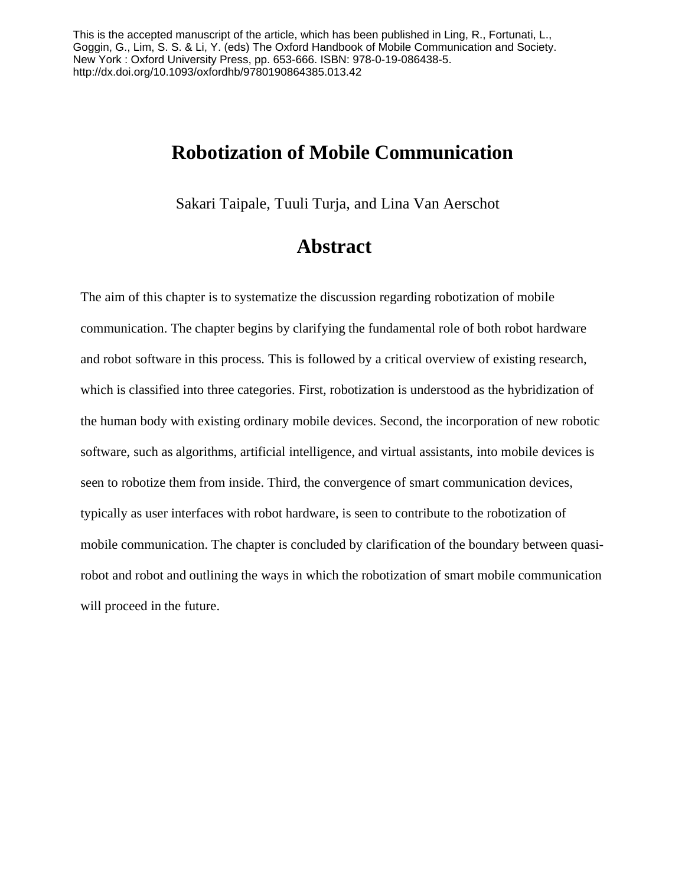<span id="page-0-0"></span>This is the accepted manuscript of the article, which has been published in Ling, R., Fortunati, L., Goggin, G., Lim, S. S. & Li, Y. (eds) The Oxford Handbook of Mobile Communication and Society. New York : Oxford University Press, pp. 653-666. ISBN: 978-0-19-086438-5. http://dx.doi.org/10.1093/oxfordhb/9780190864385.013.42

# **Robotization of Mobile Communication**

Sakari Taipale, Tuuli Turja, and Lina Van Aerschot

# <span id="page-0-1"></span>**Abstract**

The aim of this chapter is to systematize the discussion regarding robotization of mobile communication. The chapter begins by clarifying the fundamental role of both robot hardware and robot software in this process. This is followed by a critical overview of existing research, which is classified into three categories. First, robotization is understood as the hybridization of the human body with existing ordinary mobile devices. Second, the incorporation of new robotic software, such as algorithms, artificial intelligence, and virtual assistants, into mobile devices is seen to robotize them from inside. Third, the convergence of smart communication devices, typically as user interfaces with robot hardware, is seen to contribute to the robotization of mobile communication. The chapter is concluded by clarification of the boundary between quasirobot and robot and outlining the ways in which the robotization of smart mobile communication will proceed in the future.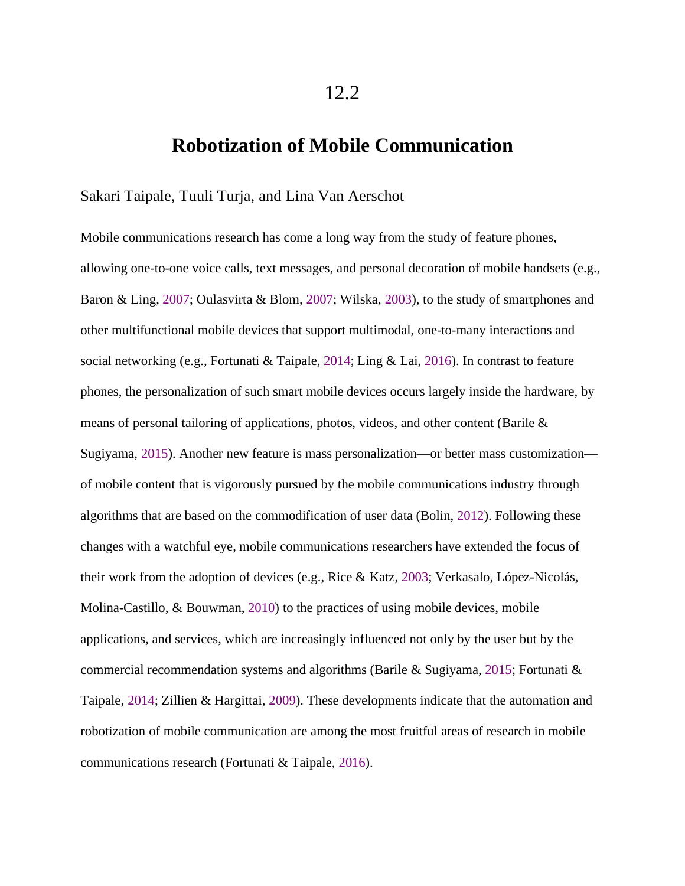# **Robotization of Mobile Communication**

#### Sakari Taipale, Tuuli Turja, and Lina Van Aerschot

Mobile communications research has come a long way from the study of feature phones, allowing one-to-one voice calls, text messages, and personal decoration of mobile handsets (e.g., Baron & Ling, [2007;](#page-0-0) Oulasvirta & Blom, [2007;](#page-0-1) Wilska, [2003](#page-0-1)), to the study of smartphones and other multifunctional mobile devices that support multimodal, one-to-many interactions and social networking (e.g., Fortunati & Taipale, [2014;](#page-0-1) Ling & Lai, [2016\)](#page-0-1). In contrast to feature phones, the personalization of such smart mobile devices occurs largely inside the hardware, by means of personal tailoring of applications, photos, videos, and other content (Barile & Sugiyama, [2015](#page-0-1)). Another new feature is mass personalization—or better mass customization of mobile content that is vigorously pursued by the mobile communications industry through algorithms that are based on the commodification of user data (Bolin, [2012](#page-0-1)). Following these changes with a watchful eye, mobile communications researchers have extended the focus of their work from the adoption of devices (e.g., Rice & Katz, [2003](#page-0-1); Verkasalo, López-Nicolás, Molina-Castillo, & Bouwman, [2010\)](#page-0-1) to the practices of using mobile devices, mobile applications, and services, which are increasingly influenced not only by the user but by the commercial recommendation systems and algorithms (Barile & Sugiyama, [2015;](#page-0-1) Fortunati & Taipale, [2014](#page-0-1); Zillien & Hargittai, [2009](#page-0-1)). These developments indicate that the automation and robotization of mobile communication are among the most fruitful areas of research in mobile communications research (Fortunati & Taipale, [2016](#page-0-1)).

12.2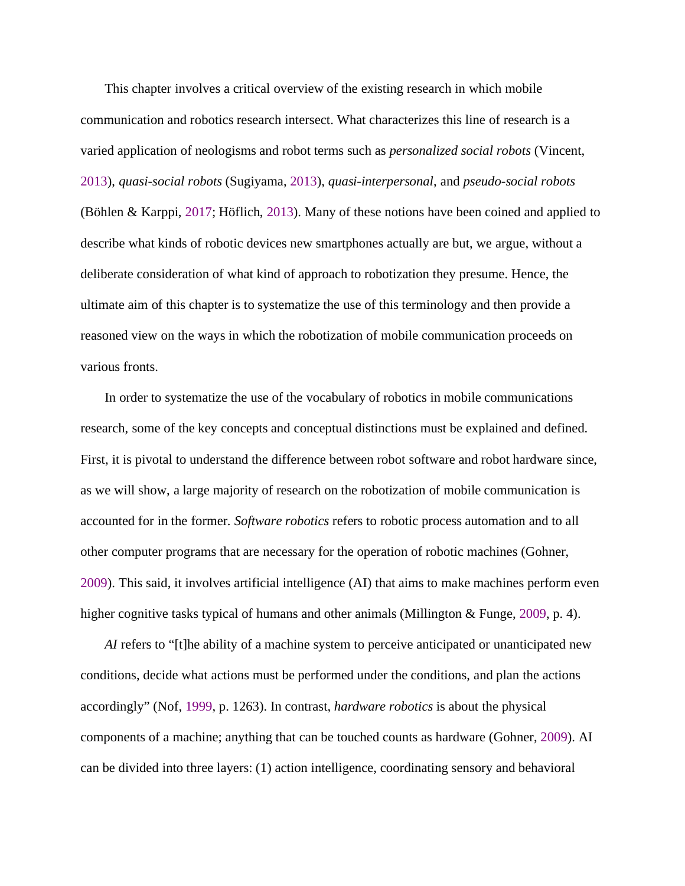This chapter involves a critical overview of the existing research in which mobile communication and robotics research intersect. What characterizes this line of research is a varied application of neologisms and robot terms such as *personalized social robots* (Vincent, [2013](#page-0-1)), *quasi-social robots* (Sugiyama, [2013\)](#page-0-1), *quasi-interpersonal*, and *pseudo-social robots* (Böhlen & Karppi, [2017;](#page-0-1) Höflich, [2013](#page-0-1)). Many of these notions have been coined and applied to describe what kinds of robotic devices new smartphones actually are but, we argue, without a deliberate consideration of what kind of approach to robotization they presume. Hence, the ultimate aim of this chapter is to systematize the use of this terminology and then provide a reasoned view on the ways in which the robotization of mobile communication proceeds on various fronts.

In order to systematize the use of the vocabulary of robotics in mobile communications research, some of the key concepts and conceptual distinctions must be explained and defined. First, it is pivotal to understand the difference between robot software and robot hardware since, as we will show, a large majority of research on the robotization of mobile communication is accounted for in the former. *Software robotics* refers to robotic process automation and to all other computer programs that are necessary for the operation of robotic machines (Gohner, [2009](#page-0-1)). This said, it involves artificial intelligence (AI) that aims to make machines perform even higher cognitive tasks typical of humans and other animals (Millington & Funge, [2009](#page-0-1), p. 4).

*AI* refers to "[t]he ability of a machine system to perceive anticipated or unanticipated new conditions, decide what actions must be performed under the conditions, and plan the actions accordingly" (Nof, [1999,](#page-0-1) p. 1263). In contrast, *hardware robotics* is about the physical components of a machine; anything that can be touched counts as hardware (Gohner, [2009](#page-0-1)). AI can be divided into three layers: (1) action intelligence, coordinating sensory and behavioral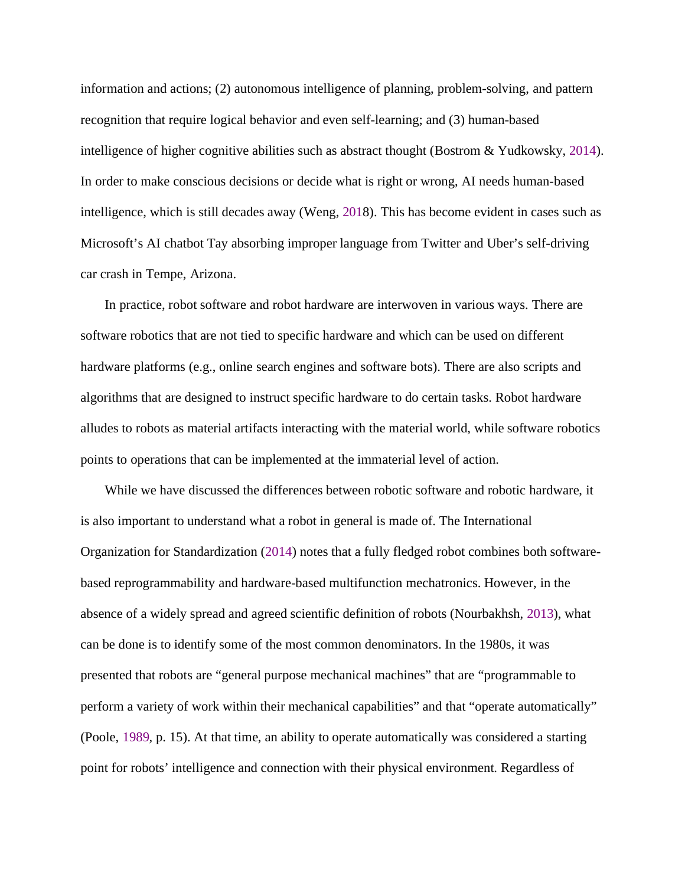information and actions; (2) autonomous intelligence of planning, problem-solving, and pattern recognition that require logical behavior and even self-learning; and (3) human-based intelligence of higher cognitive abilities such as abstract thought (Bostrom & Yudkowsky, [2014](#page-0-1)). In order to make conscious decisions or decide what is right or wrong, AI needs human-based intelligence, which is still decades away (Weng, [201](#page-0-1)8). This has become evident in cases such as Microsoft's AI chatbot Tay absorbing improper language from Twitter and Uber's self-driving car crash in Tempe, Arizona.

In practice, robot software and robot hardware are interwoven in various ways. There are software robotics that are not tied to specific hardware and which can be used on different hardware platforms (e.g., online search engines and software bots). There are also scripts and algorithms that are designed to instruct specific hardware to do certain tasks. Robot hardware alludes to robots as material artifacts interacting with the material world, while software robotics points to operations that can be implemented at the immaterial level of action.

While we have discussed the differences between robotic software and robotic hardware, it is also important to understand what a robot in general is made of. The International Organization for Standardization [\(2014](#page-0-1)) notes that a fully fledged robot combines both softwarebased reprogrammability and hardware-based multifunction mechatronics. However, in the absence of a widely spread and agreed scientific definition of robots (Nourbakhsh, [2013\)](#page-0-1), what can be done is to identify some of the most common denominators. In the 1980s, it was presented that robots are "general purpose mechanical machines" that are "programmable to perform a variety of work within their mechanical capabilities" and that "operate automatically" (Poole, [1989,](#page-0-1) p. 15). At that time, an ability to operate automatically was considered a starting point for robots' intelligence and connection with their physical environment. Regardless of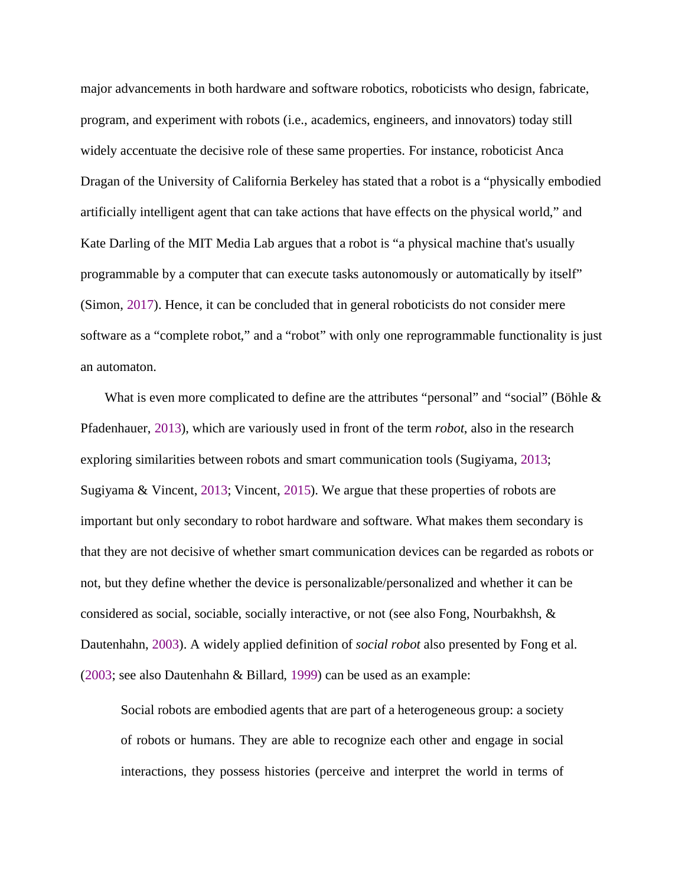major advancements in both hardware and software robotics, roboticists who design, fabricate, program, and experiment with robots (i.e., academics, engineers, and innovators) today still widely accentuate the decisive role of these same properties. For instance, roboticist Anca Dragan of the University of California Berkeley has stated that a robot is a "physically embodied artificially intelligent agent that can take actions that have effects on the physical world," and Kate Darling of the MIT Media Lab argues that a robot is "a physical machine that's usually programmable by a computer that can execute tasks autonomously or automatically by itself" (Simon, [2017\)](#page-0-1). Hence, it can be concluded that in general roboticists do not consider mere software as a "complete robot," and a "robot" with only one reprogrammable functionality is just an automaton.

What is even more complicated to define are the attributes "personal" and "social" (Böhle  $\&$ Pfadenhauer, [2013](#page-0-1)), which are variously used in front of the term *robot*, also in the research exploring similarities between robots and smart communication tools (Sugiyama, [2013;](#page-0-1) Sugiyama & Vincent, [2013;](#page-0-1) Vincent, [2015\)](#page-0-1). We argue that these properties of robots are important but only secondary to robot hardware and software. What makes them secondary is that they are not decisive of whether smart communication devices can be regarded as robots or not, but they define whether the device is personalizable/personalized and whether it can be considered as social, sociable, socially interactive, or not (see also Fong, Nourbakhsh, & Dautenhahn, [2003](#page-0-1)). A widely applied definition of *social robot* also presented by Fong et al. ([2003](#page-0-1); see also Dautenhahn & Billard, [1999\)](#page-0-1) can be used as an example:

Social robots are embodied agents that are part of a heterogeneous group: a society of robots or humans. They are able to recognize each other and engage in social interactions, they possess histories (perceive and interpret the world in terms of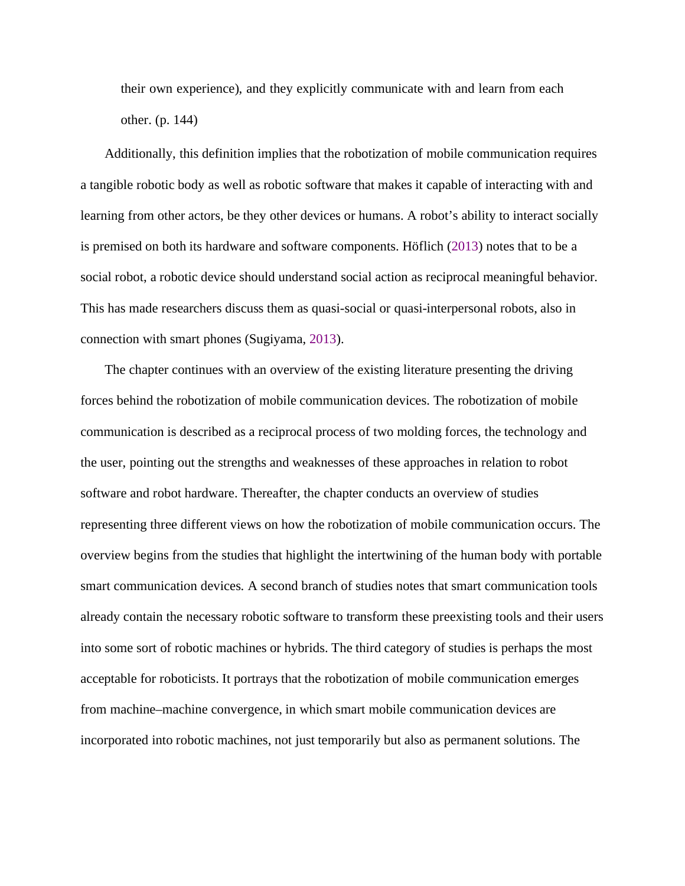their own experience), and they explicitly communicate with and learn from each other. (p. 144)

Additionally, this definition implies that the robotization of mobile communication requires a tangible robotic body as well as robotic software that makes it capable of interacting with and learning from other actors, be they other devices or humans. A robot's ability to interact socially is premised on both its hardware and software components. Höflich ([2013\)](#page-0-1) notes that to be a social robot, a robotic device should understand social action as reciprocal meaningful behavior. This has made researchers discuss them as quasi-social or quasi-interpersonal robots, also in connection with smart phones (Sugiyama, [2013](#page-0-1)).

The chapter continues with an overview of the existing literature presenting the driving forces behind the robotization of mobile communication devices. The robotization of mobile communication is described as a reciprocal process of two molding forces, the technology and the user, pointing out the strengths and weaknesses of these approaches in relation to robot software and robot hardware. Thereafter, the chapter conducts an overview of studies representing three different views on how the robotization of mobile communication occurs. The overview begins from the studies that highlight the intertwining of the human body with portable smart communication devices. A second branch of studies notes that smart communication tools already contain the necessary robotic software to transform these preexisting tools and their users into some sort of robotic machines or hybrids. The third category of studies is perhaps the most acceptable for roboticists. It portrays that the robotization of mobile communication emerges from machine–machine convergence, in which smart mobile communication devices are incorporated into robotic machines, not just temporarily but also as permanent solutions. The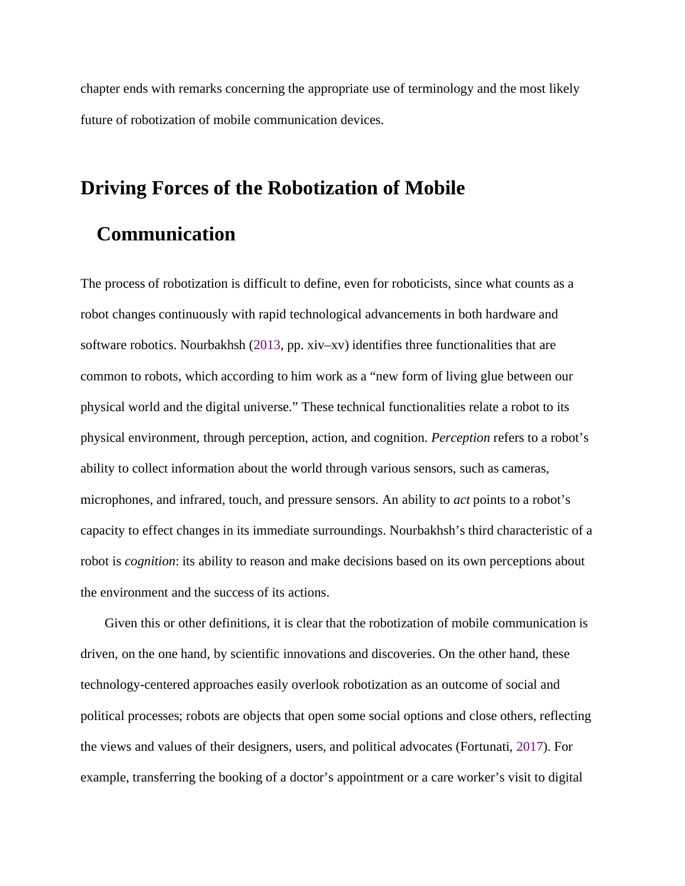chapter ends with remarks concerning the appropriate use of terminology and the most likely future of robotization of mobile communication devices.

# **Driving Forces of the Robotization of Mobile Communication**

The process of robotization is difficult to define, even for roboticists, since what counts as a robot changes continuously with rapid technological advancements in both hardware and software robotics. Nourbakhsh [\(2013](#page-0-1), pp. xiv–xv) identifies three functionalities that are common to robots, which according to him work as a "new form of living glue between our physical world and the digital universe." These technical functionalities relate a robot to its physical environment, through perception, action, and cognition. *Perception* refers to a robot's ability to collect information about the world through various sensors, such as cameras, microphones, and infrared, touch, and pressure sensors. An ability to *act* points to a robot's capacity to effect changes in its immediate surroundings. Nourbakhsh's third characteristic of a robot is *cognition*: its ability to reason and make decisions based on its own perceptions about the environment and the success of its actions.

Given this or other definitions, it is clear that the robotization of mobile communication is driven, on the one hand, by scientific innovations and discoveries. On the other hand, these technology-centered approaches easily overlook robotization as an outcome of social and political processes; robots are objects that open some social options and close others, reflecting the views and values of their designers, users, and political advocates (Fortunati, [2017\)](#page-0-1). For example, transferring the booking of a doctor's appointment or a care worker's visit to digital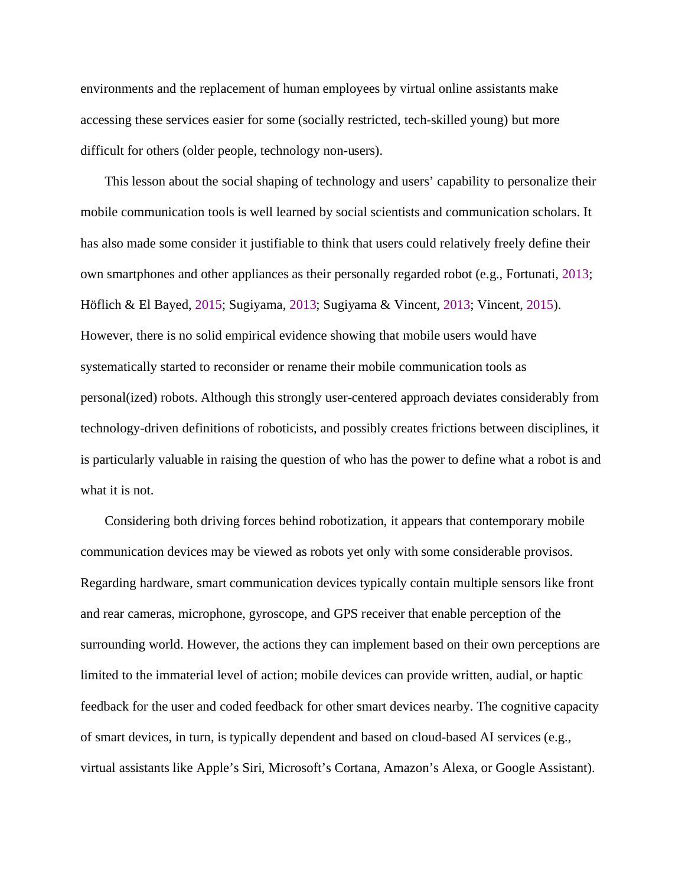environments and the replacement of human employees by virtual online assistants make accessing these services easier for some (socially restricted, tech-skilled young) but more difficult for others (older people, technology non-users).

This lesson about the social shaping of technology and users' capability to personalize their mobile communication tools is well learned by social scientists and communication scholars. It has also made some consider it justifiable to think that users could relatively freely define their own smartphones and other appliances as their personally regarded robot (e.g., Fortunati, [2013](#page-0-1); Höflich & El Bayed, [2015](#page-0-1); Sugiyama, [2013](#page-0-1); Sugiyama & Vincent, [2013](#page-0-1); Vincent, [2015](#page-0-1)). However, there is no solid empirical evidence showing that mobile users would have systematically started to reconsider or rename their mobile communication tools as personal(ized) robots. Although this strongly user-centered approach deviates considerably from technology-driven definitions of roboticists, and possibly creates frictions between disciplines, it is particularly valuable in raising the question of who has the power to define what a robot is and what it is not.

Considering both driving forces behind robotization, it appears that contemporary mobile communication devices may be viewed as robots yet only with some considerable provisos. Regarding hardware, smart communication devices typically contain multiple sensors like front and rear cameras, microphone, gyroscope, and GPS receiver that enable perception of the surrounding world. However, the actions they can implement based on their own perceptions are limited to the immaterial level of action; mobile devices can provide written, audial, or haptic feedback for the user and coded feedback for other smart devices nearby. The cognitive capacity of smart devices, in turn, is typically dependent and based on cloud-based AI services (e.g., virtual assistants like Apple's Siri, Microsoft's Cortana, Amazon's Alexa, or Google Assistant).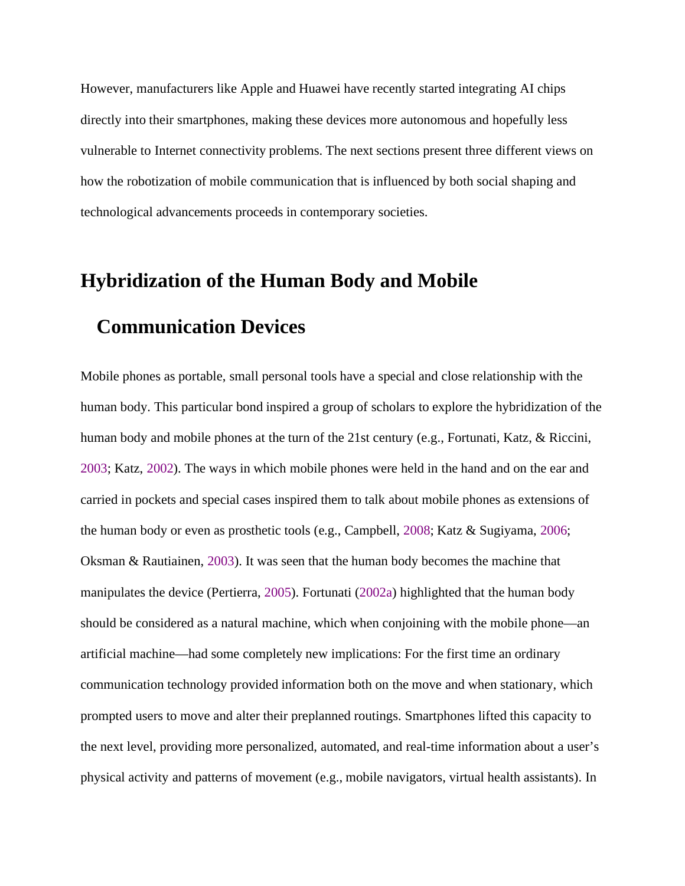However, manufacturers like Apple and Huawei have recently started integrating AI chips directly into their smartphones, making these devices more autonomous and hopefully less vulnerable to Internet connectivity problems. The next sections present three different views on how the robotization of mobile communication that is influenced by both social shaping and technological advancements proceeds in contemporary societies.

# **Hybridization of the Human Body and Mobile**

# **Communication Devices**

Mobile phones as portable, small personal tools have a special and close relationship with the human body. This particular bond inspired a group of scholars to explore the hybridization of the human body and mobile phones at the turn of the 21st century (e.g., Fortunati, Katz, & Riccini, [2003](#page-0-1); Katz, [2002](#page-0-1)). The ways in which mobile phones were held in the hand and on the ear and carried in pockets and special cases inspired them to talk about mobile phones as extensions of the human body or even as prosthetic tools (e.g., Campbell, [2008](#page-0-1); Katz & Sugiyama, [2006;](#page-0-1) Oksman & Rautiainen, [2003\)](#page-0-1). It was seen that the human body becomes the machine that manipulates the device (Pertierra, [2005](#page-0-1)). Fortunati ([2002a](#page-0-1)) highlighted that the human body should be considered as a natural machine, which when conjoining with the mobile phone—an artificial machine—had some completely new implications: For the first time an ordinary communication technology provided information both on the move and when stationary, which prompted users to move and alter their preplanned routings. Smartphones lifted this capacity to the next level, providing more personalized, automated, and real-time information about a user's physical activity and patterns of movement (e.g., mobile navigators, virtual health assistants). In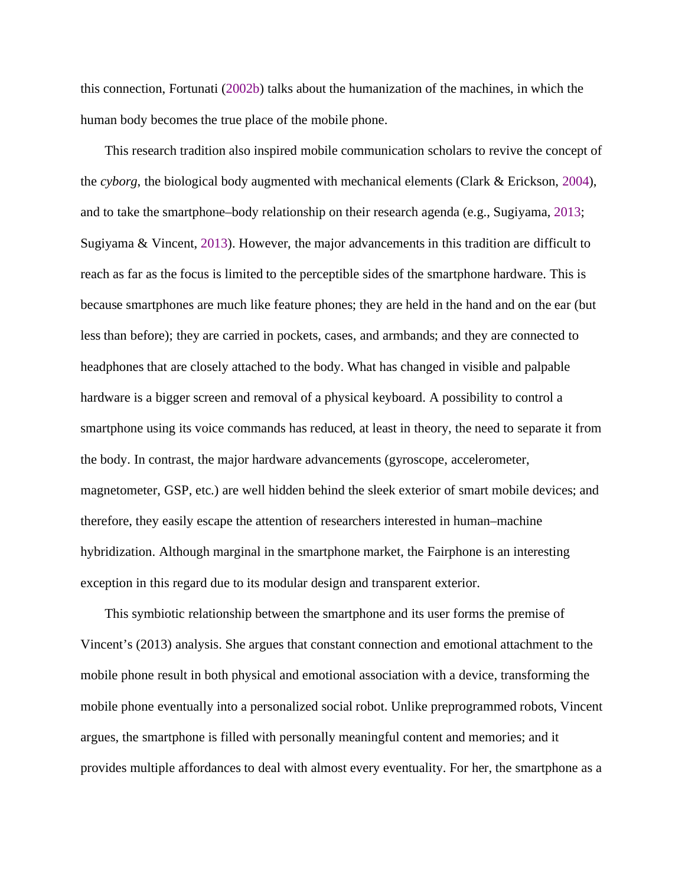this connection, Fortunati ([2002b](#page-0-1)) talks about the humanization of the machines, in which the human body becomes the true place of the mobile phone.

This research tradition also inspired mobile communication scholars to revive the concept of the *cyborg*, the biological body augmented with mechanical elements (Clark & Erickson, [2004](#page-0-1)), and to take the smartphone–body relationship on their research agenda (e.g., Sugiyama, [2013](#page-0-1); Sugiyama & Vincent, [2013\)](#page-0-1). However, the major advancements in this tradition are difficult to reach as far as the focus is limited to the perceptible sides of the smartphone hardware. This is because smartphones are much like feature phones; they are held in the hand and on the ear (but less than before); they are carried in pockets, cases, and armbands; and they are connected to headphones that are closely attached to the body. What has changed in visible and palpable hardware is a bigger screen and removal of a physical keyboard. A possibility to control a smartphone using its voice commands has reduced, at least in theory, the need to separate it from the body. In contrast, the major hardware advancements (gyroscope, accelerometer, magnetometer, GSP, etc.) are well hidden behind the sleek exterior of smart mobile devices; and therefore, they easily escape the attention of researchers interested in human–machine hybridization. Although marginal in the smartphone market, the Fairphone is an interesting exception in this regard due to its modular design and transparent exterior.

This symbiotic relationship between the smartphone and its user forms the premise of Vincent's (2013) analysis. She argues that constant connection and emotional attachment to the mobile phone result in both physical and emotional association with a device, transforming the mobile phone eventually into a personalized social robot. Unlike preprogrammed robots, Vincent argues, the smartphone is filled with personally meaningful content and memories; and it provides multiple affordances to deal with almost every eventuality. For her, the smartphone as a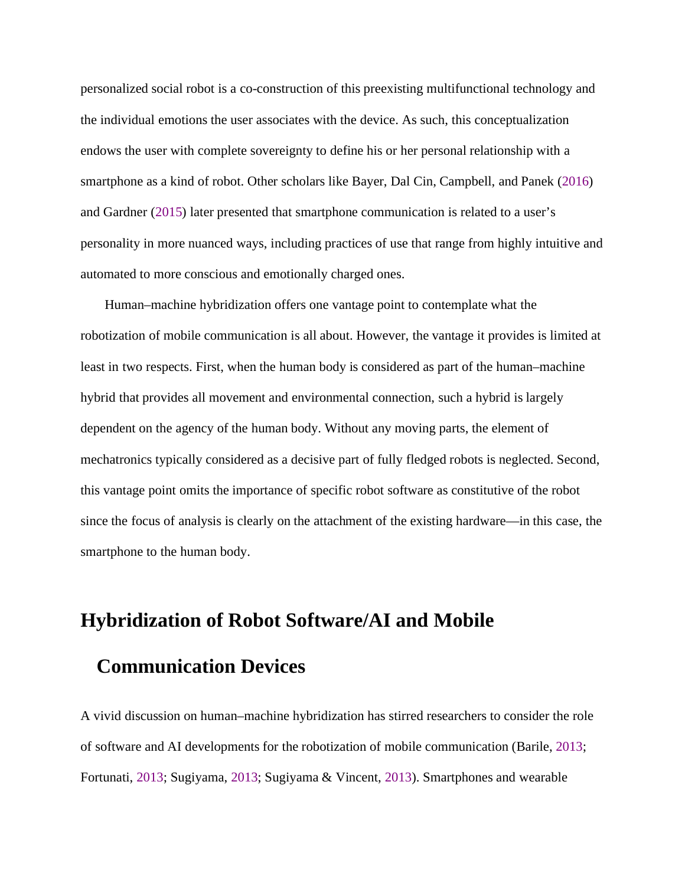personalized social robot is a co-construction of this preexisting multifunctional technology and the individual emotions the user associates with the device. As such, this conceptualization endows the user with complete sovereignty to define his or her personal relationship with a smartphone as a kind of robot. Other scholars like Bayer, Dal Cin, Campbell, and Panek [\(2016](#page-0-1)) and Gardner [\(2015](#page-0-1)) later presented that smartphone communication is related to a user's personality in more nuanced ways, including practices of use that range from highly intuitive and automated to more conscious and emotionally charged ones.

Human–machine hybridization offers one vantage point to contemplate what the robotization of mobile communication is all about. However, the vantage it provides is limited at least in two respects. First, when the human body is considered as part of the human–machine hybrid that provides all movement and environmental connection, such a hybrid is largely dependent on the agency of the human body. Without any moving parts, the element of mechatronics typically considered as a decisive part of fully fledged robots is neglected. Second, this vantage point omits the importance of specific robot software as constitutive of the robot since the focus of analysis is clearly on the attachment of the existing hardware—in this case, the smartphone to the human body.

#### **Hybridization of Robot Software/AI and Mobile**

### **Communication Devices**

A vivid discussion on human–machine hybridization has stirred researchers to consider the role of software and AI developments for the robotization of mobile communication (Barile, [2013](#page-0-1); Fortunati, [2013](#page-0-1); Sugiyama, [2013](#page-0-1); Sugiyama & Vincent, [2013](#page-0-1)). Smartphones and wearable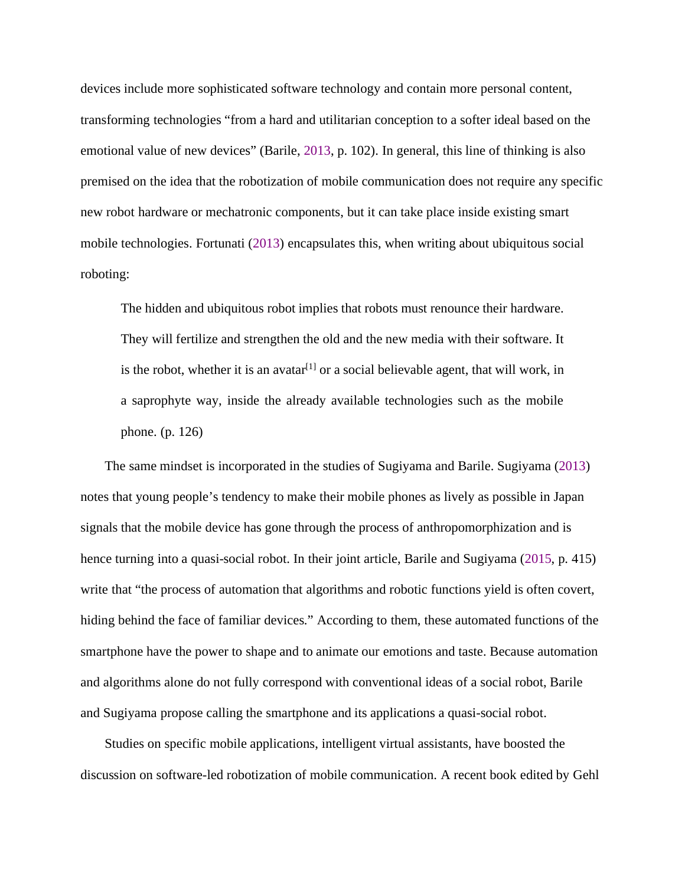devices include more sophisticated software technology and contain more personal content, transforming technologies "from a hard and utilitarian conception to a softer ideal based on the emotional value of new devices" (Barile, [2013,](#page-0-1) p. 102). In general, this line of thinking is also premised on the idea that the robotization of mobile communication does not require any specific new robot hardware or mechatronic components, but it can take place inside existing smart mobile technologies. Fortunati ([2013](#page-0-1)) encapsulates this, when writing about ubiquitous social roboting:

The hidden and ubiquitous robot implies that robots must renounce their hardware. They will fertilize and strengthen the old and the new media with their software. It is the robot, whether it is an avatar<sup>[[1](#page-23-0)]</sup> or a social believable agent, that will work, in a saprophyte way, inside the already available technologies such as the mobile phone. (p. 126)

The same mindset is incorporated in the studies of Sugiyama and Barile. Sugiyama ([2013\)](#page-0-1) notes that young people's tendency to make their mobile phones as lively as possible in Japan signals that the mobile device has gone through the process of anthropomorphization and is hence turning into a quasi-social robot. In their joint article, Barile and Sugiyama [\(2015,](#page-0-1) p. 415) write that "the process of automation that algorithms and robotic functions yield is often covert, hiding behind the face of familiar devices." According to them, these automated functions of the smartphone have the power to shape and to animate our emotions and taste. Because automation and algorithms alone do not fully correspond with conventional ideas of a social robot, Barile and Sugiyama propose calling the smartphone and its applications a quasi-social robot.

Studies on specific mobile applications, intelligent virtual assistants, have boosted the discussion on software-led robotization of mobile communication. A recent book edited by Gehl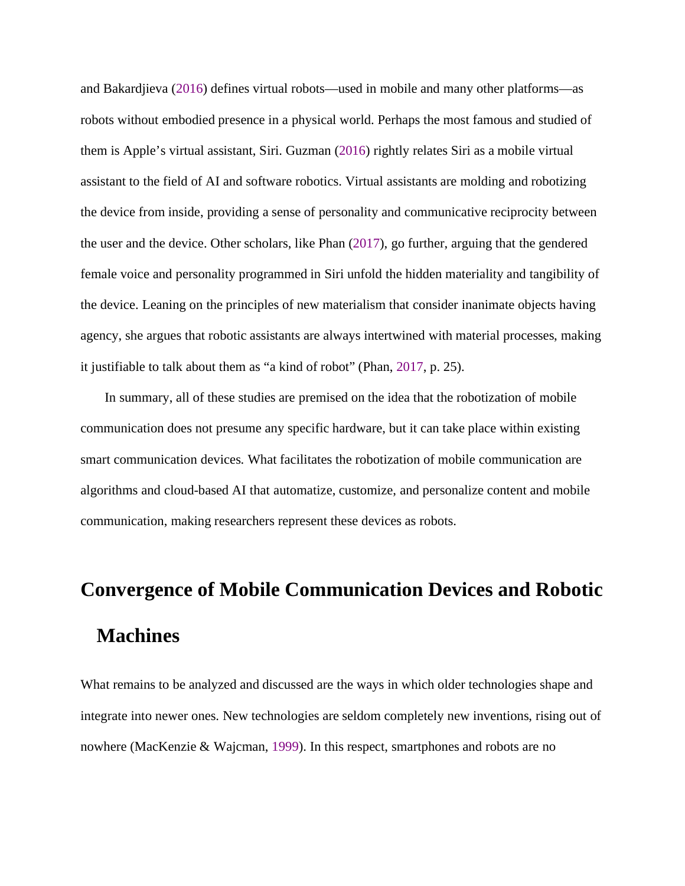and Bakardjieva ([2016\)](#page-0-1) defines virtual robots—used in mobile and many other platforms—as robots without embodied presence in a physical world. Perhaps the most famous and studied of them is Apple's virtual assistant, Siri. Guzman [\(2016\)](#page-0-1) rightly relates Siri as a mobile virtual assistant to the field of AI and software robotics. Virtual assistants are molding and robotizing the device from inside, providing a sense of personality and communicative reciprocity between the user and the device. Other scholars, like Phan ([2017\)](#page-0-1), go further, arguing that the gendered female voice and personality programmed in Siri unfold the hidden materiality and tangibility of the device. Leaning on the principles of new materialism that consider inanimate objects having agency, she argues that robotic assistants are always intertwined with material processes, making it justifiable to talk about them as "a kind of robot" (Phan, [2017](#page-0-1), p. 25).

In summary, all of these studies are premised on the idea that the robotization of mobile communication does not presume any specific hardware, but it can take place within existing smart communication devices. What facilitates the robotization of mobile communication are algorithms and cloud-based AI that automatize, customize, and personalize content and mobile communication, making researchers represent these devices as robots.

# **Convergence of Mobile Communication Devices and Robotic Machines**

What remains to be analyzed and discussed are the ways in which older technologies shape and integrate into newer ones. New technologies are seldom completely new inventions, rising out of nowhere (MacKenzie & Wajcman, [1999](#page-0-1)). In this respect, smartphones and robots are no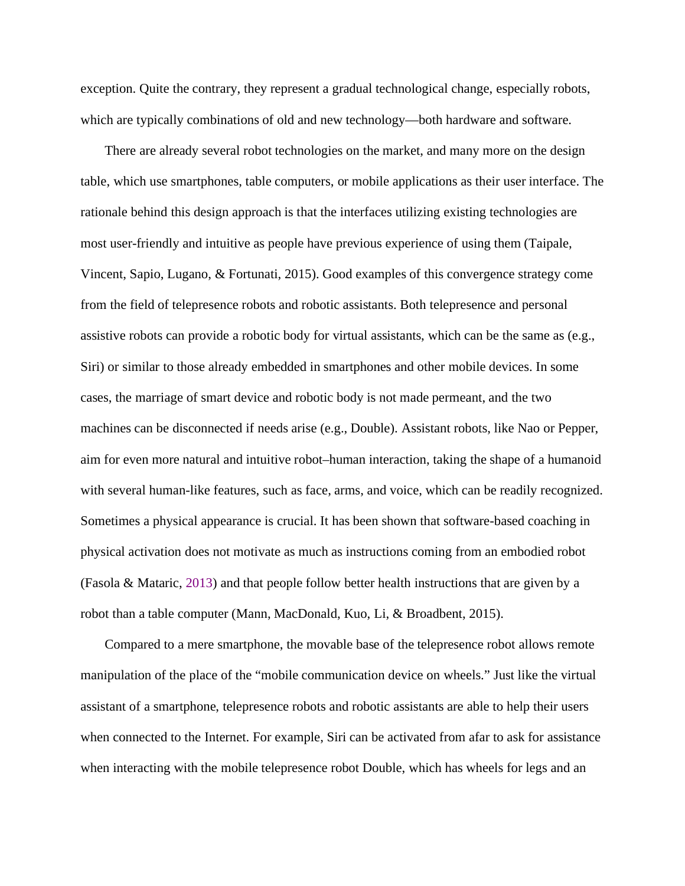exception. Quite the contrary, they represent a gradual technological change, especially robots, which are typically combinations of old and new technology—both hardware and software.

There are already several robot technologies on the market, and many more on the design table, which use smartphones, table computers, or mobile applications as their user interface. The rationale behind this design approach is that the interfaces utilizing existing technologies are most user-friendly and intuitive as people have previous experience of using them (Taipale, Vincent, Sapio, Lugano, & Fortunati, 2015). Good examples of this convergence strategy come from the field of telepresence robots and robotic assistants. Both telepresence and personal assistive robots can provide a robotic body for virtual assistants, which can be the same as (e.g., Siri) or similar to those already embedded in smartphones and other mobile devices. In some cases, the marriage of smart device and robotic body is not made permeant, and the two machines can be disconnected if needs arise (e.g., Double). Assistant robots, like Nao or Pepper, aim for even more natural and intuitive robot–human interaction, taking the shape of a humanoid with several human-like features, such as face, arms, and voice, which can be readily recognized. Sometimes a physical appearance is crucial. It has been shown that software-based coaching in physical activation does not motivate as much as instructions coming from an embodied robot (Fasola & Mataric, [2013](#page-0-1)) and that people follow better health instructions that are given by a robot than a table computer (Mann, MacDonald, Kuo, Li, & Broadbent, 2015).

Compared to a mere smartphone, the movable base of the telepresence robot allows remote manipulation of the place of the "mobile communication device on wheels." Just like the virtual assistant of a smartphone, telepresence robots and robotic assistants are able to help their users when connected to the Internet. For example, Siri can be activated from afar to ask for assistance when interacting with the mobile telepresence robot Double, which has wheels for legs and an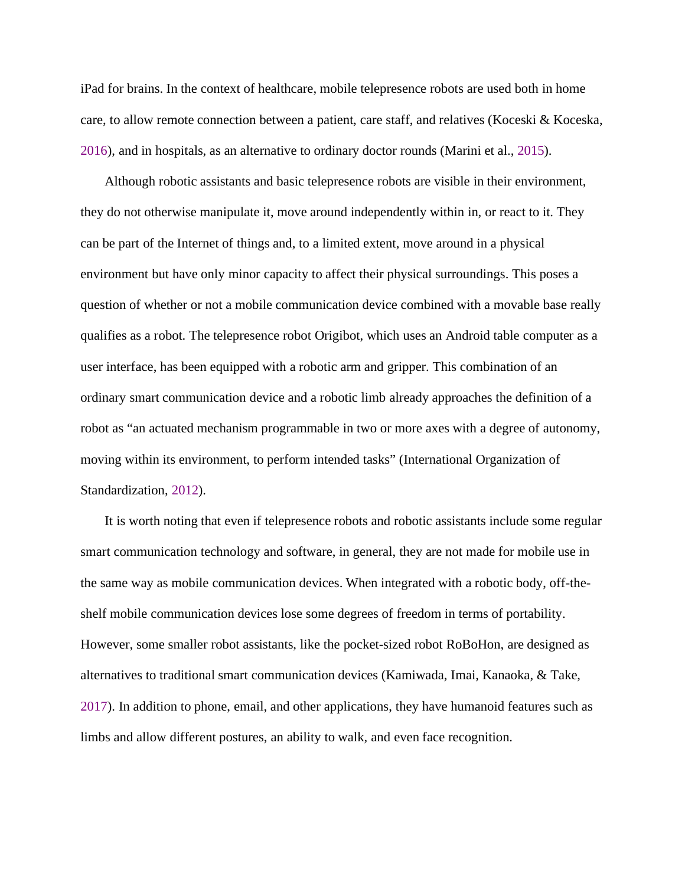iPad for brains. In the context of healthcare, mobile telepresence robots are used both in home care, to allow remote connection between a patient, care staff, and relatives (Koceski & Koceska, [2016](#page-0-1)), and in hospitals, as an alternative to ordinary doctor rounds (Marini et al., [2015](#page-0-1)).

Although robotic assistants and basic telepresence robots are visible in their environment, they do not otherwise manipulate it, move around independently within in, or react to it. They can be part of the Internet of things and, to a limited extent, move around in a physical environment but have only minor capacity to affect their physical surroundings. This poses a question of whether or not a mobile communication device combined with a movable base really qualifies as a robot. The telepresence robot Origibot, which uses an Android table computer as a user interface, has been equipped with a robotic arm and gripper. This combination of an ordinary smart communication device and a robotic limb already approaches the definition of a robot as "an actuated mechanism programmable in two or more axes with a degree of autonomy, moving within its environment, to perform intended tasks" (International Organization of Standardization, [2012\)](#page-0-1).

It is worth noting that even if telepresence robots and robotic assistants include some regular smart communication technology and software, in general, they are not made for mobile use in the same way as mobile communication devices. When integrated with a robotic body, off-theshelf mobile communication devices lose some degrees of freedom in terms of portability. However, some smaller robot assistants, like the pocket-sized robot RoBoHon, are designed as alternatives to traditional smart communication devices (Kamiwada, Imai, Kanaoka, & Take, [2017](#page-0-1)). In addition to phone, email, and other applications, they have humanoid features such as limbs and allow different postures, an ability to walk, and even face recognition.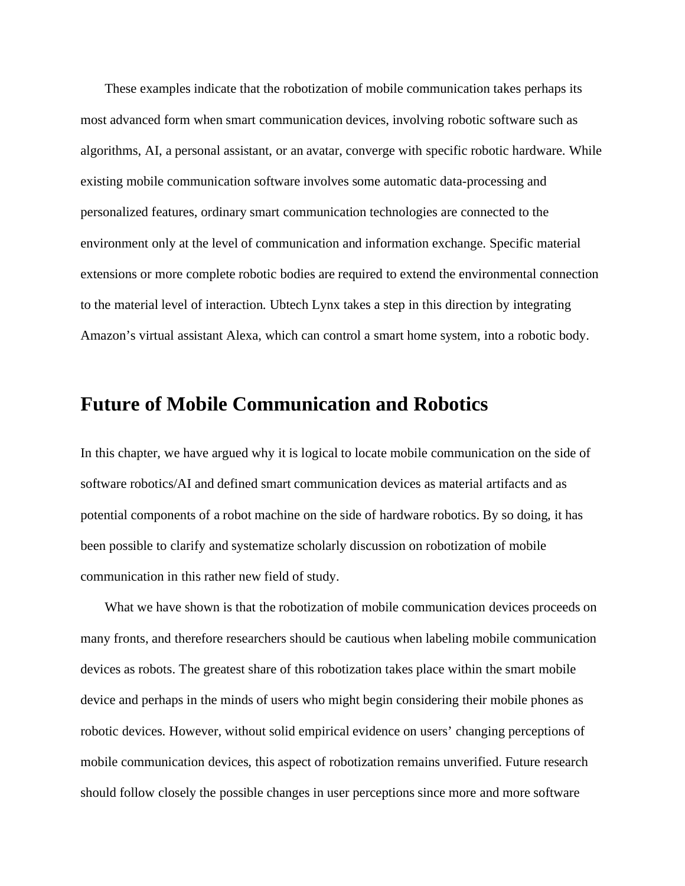These examples indicate that the robotization of mobile communication takes perhaps its most advanced form when smart communication devices, involving robotic software such as algorithms, AI, a personal assistant, or an avatar, converge with specific robotic hardware. While existing mobile communication software involves some automatic data-processing and personalized features, ordinary smart communication technologies are connected to the environment only at the level of communication and information exchange. Specific material extensions or more complete robotic bodies are required to extend the environmental connection to the material level of interaction. Ubtech Lynx takes a step in this direction by integrating Amazon's virtual assistant Alexa, which can control a smart home system, into a robotic body.

# **Future of Mobile Communication and Robotics**

In this chapter, we have argued why it is logical to locate mobile communication on the side of software robotics/AI and defined smart communication devices as material artifacts and as potential components of a robot machine on the side of hardware robotics. By so doing, it has been possible to clarify and systematize scholarly discussion on robotization of mobile communication in this rather new field of study.

What we have shown is that the robotization of mobile communication devices proceeds on many fronts, and therefore researchers should be cautious when labeling mobile communication devices as robots. The greatest share of this robotization takes place within the smart mobile device and perhaps in the minds of users who might begin considering their mobile phones as robotic devices. However, without solid empirical evidence on users' changing perceptions of mobile communication devices, this aspect of robotization remains unverified. Future research should follow closely the possible changes in user perceptions since more and more software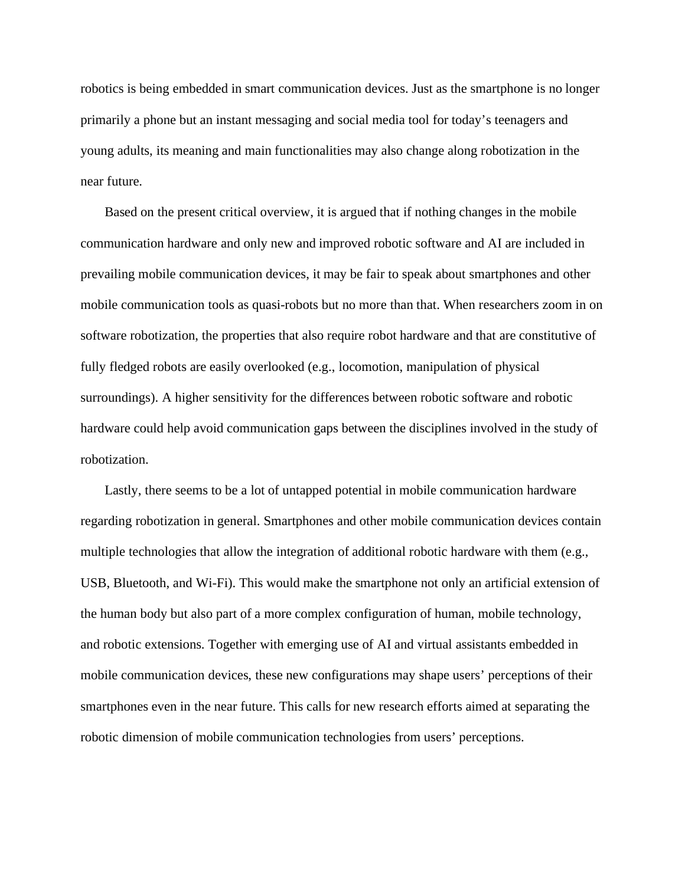robotics is being embedded in smart communication devices. Just as the smartphone is no longer primarily a phone but an instant messaging and social media tool for today's teenagers and young adults, its meaning and main functionalities may also change along robotization in the near future.

Based on the present critical overview, it is argued that if nothing changes in the mobile communication hardware and only new and improved robotic software and AI are included in prevailing mobile communication devices, it may be fair to speak about smartphones and other mobile communication tools as quasi-robots but no more than that. When researchers zoom in on software robotization, the properties that also require robot hardware and that are constitutive of fully fledged robots are easily overlooked (e.g., locomotion, manipulation of physical surroundings). A higher sensitivity for the differences between robotic software and robotic hardware could help avoid communication gaps between the disciplines involved in the study of robotization.

Lastly, there seems to be a lot of untapped potential in mobile communication hardware regarding robotization in general. Smartphones and other mobile communication devices contain multiple technologies that allow the integration of additional robotic hardware with them (e.g., USB, Bluetooth, and Wi-Fi). This would make the smartphone not only an artificial extension of the human body but also part of a more complex configuration of human, mobile technology, and robotic extensions. Together with emerging use of AI and virtual assistants embedded in mobile communication devices, these new configurations may shape users' perceptions of their smartphones even in the near future. This calls for new research efforts aimed at separating the robotic dimension of mobile communication technologies from users' perceptions.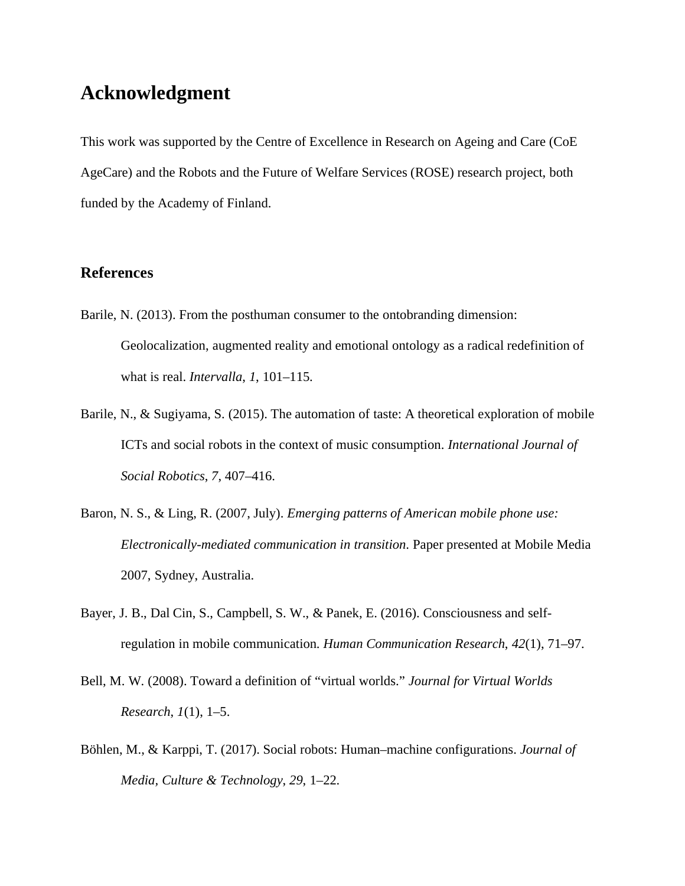## **Acknowledgment**

This work was supported by the Centre of Excellence in Research on Ageing and Care (CoE AgeCare) and the Robots and the Future of Welfare Services (ROSE) research project, both funded by the Academy of Finland.

#### **References**

- Barile, N. (2013). From the posthuman consumer to the ontobranding dimension: Geolocalization, augmented reality and emotional ontology as a radical redefinition of what is real. *Intervalla*, *1*, 101–115.
- Barile, N., & Sugiyama, S. (2015). The automation of taste: A theoretical exploration of mobile ICTs and social robots in the context of music consumption. *International Journal of Social Robotics*, *7*, 407–416.
- Baron, N. S., & Ling, R. (2007, July). *Emerging patterns of American mobile phone use: Electronically-mediated communication in transition*. Paper presented at Mobile Media 2007, Sydney, Australia.
- Bayer, J. B., Dal Cin, S., Campbell, S. W., & Panek, E. (2016). Consciousness and selfregulation in mobile communication. *Human Communication Research*, *42*(1), 71–97.
- Bell, M. W. (2008). Toward a definition of "virtual worlds." *Journal for Virtual Worlds Research*, *1*(1), 1–5.
- Böhlen, M., & Karppi, T. (2017). Social robots: Human–machine configurations. *Journal of Media, Culture & Technology*, *29*, 1–22.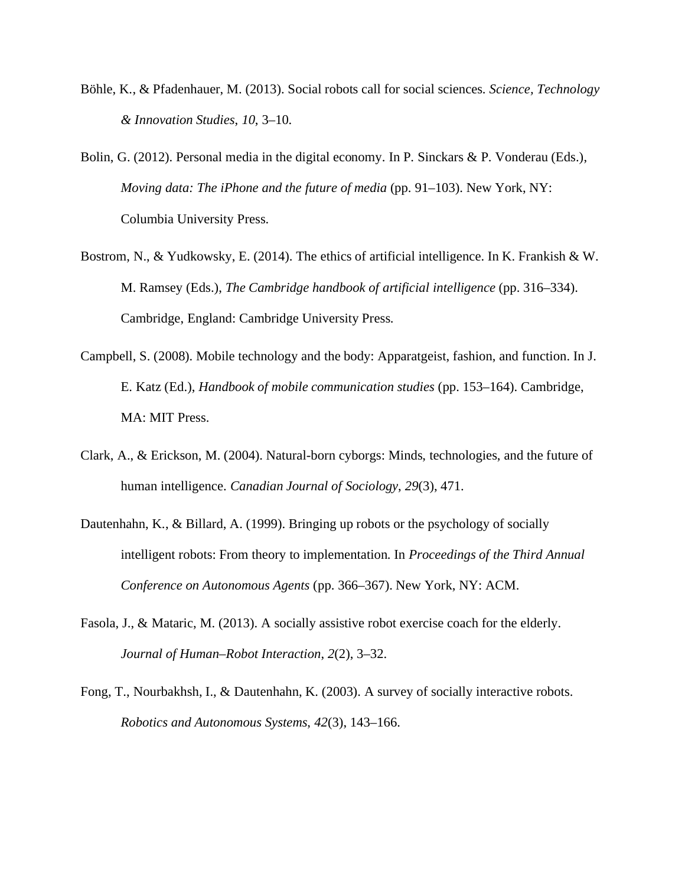- Böhle, K., & Pfadenhauer, M. (2013). Social robots call for social sciences. *Science, Technology & Innovation Studies*, *10*, 3–10.
- Bolin, G. (2012). Personal media in the digital economy. In P. Sinckars & P. Vonderau (Eds.), *Moving data: The iPhone and the future of media* (pp. 91–103). New York, NY: Columbia University Press.
- Bostrom, N., & Yudkowsky, E. (2014). The ethics of artificial intelligence. In K. Frankish & W. M. Ramsey (Eds.), *The Cambridge handbook of artificial intelligence* (pp. 316–334). Cambridge, England: Cambridge University Press.
- Campbell, S. (2008). Mobile technology and the body: Apparatgeist, fashion, and function. In J. E. Katz (Ed.), *Handbook of mobile communication studies* (pp. 153–164). Cambridge, MA: MIT Press.
- Clark, A., & Erickson, M. (2004). Natural-born cyborgs: Minds, technologies, and the future of human intelligence. *Canadian Journal of Sociology*, *29*(3), 471.
- Dautenhahn, K., & Billard, A. (1999). Bringing up robots or the psychology of socially intelligent robots: From theory to implementation. In *Proceedings of the Third Annual Conference on Autonomous Agents* (pp. 366–367). New York, NY: ACM.
- Fasola, J., & Mataric, M. (2013). A socially assistive robot exercise coach for the elderly. *Journal of Human–Robot Interaction*, *2*(2), 3–32.
- Fong, T., Nourbakhsh, I., & Dautenhahn, K. (2003). A survey of socially interactive robots. *Robotics and Autonomous Systems*, *42*(3), 143–166.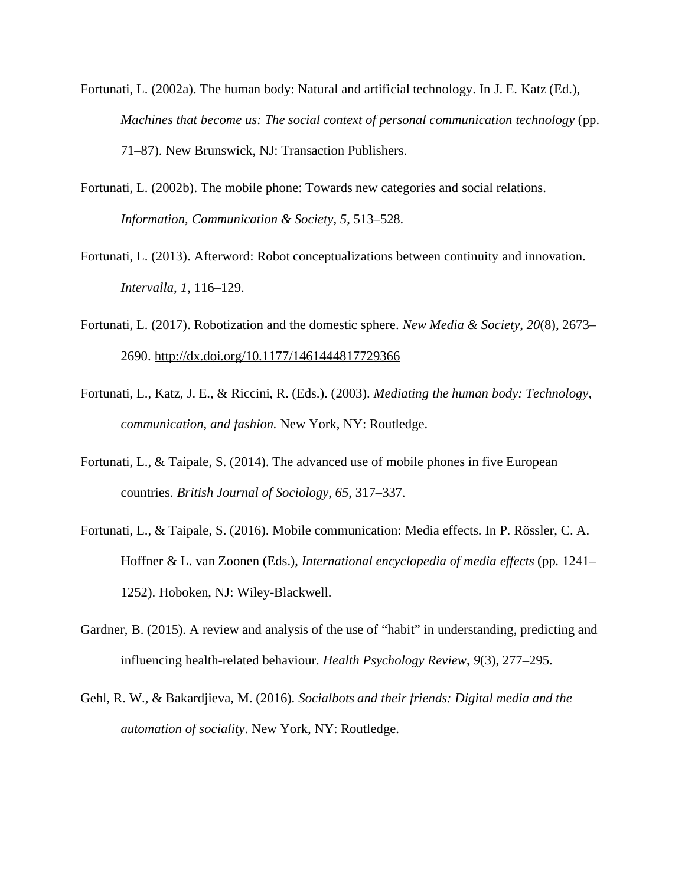- Fortunati, L. (2002a). The human body: Natural and artificial technology. In J. E. Katz (Ed.), *Machines that become us: The social context of personal communication technology* (pp. 71–87). New Brunswick, NJ: Transaction Publishers.
- Fortunati, L. (2002b). The mobile phone: Towards new categories and social relations. *Information, Communication & Society*, *5*, 513–528.
- Fortunati, L. (2013). Afterword: Robot conceptualizations between continuity and innovation. *Intervalla*, *1*, 116–129.
- Fortunati, L. (2017). Robotization and the domestic sphere. *New Media & Society*, *20*(8), 2673– 2690. <http://dx.doi.org/10.1177/1461444817729366>
- Fortunati, L., Katz, J. E., & Riccini, R. (Eds.). (2003). *Mediating the human body: Technology, communication, and fashion*. New York, NY: Routledge.
- Fortunati, L., & Taipale, S. (2014). The advanced use of mobile phones in five European countries. *British Journal of Sociology*, *65*, 317–337.
- Fortunati, L., & Taipale, S. (2016). Mobile communication: Media effects. In P. Rössler, C. A. Hoffner & L. van Zoonen (Eds.), *International encyclopedia of media effects* (pp. 1241– 1252). Hoboken, NJ: Wiley-Blackwell.
- Gardner, B. (2015). A review and analysis of the use of "habit" in understanding, predicting and influencing health-related behaviour. *Health Psychology Review*, *9*(3), 277–295.
- Gehl, R. W., & Bakardjieva, M. (2016). *Socialbots and their friends: Digital media and the automation of sociality*. New York, NY: Routledge.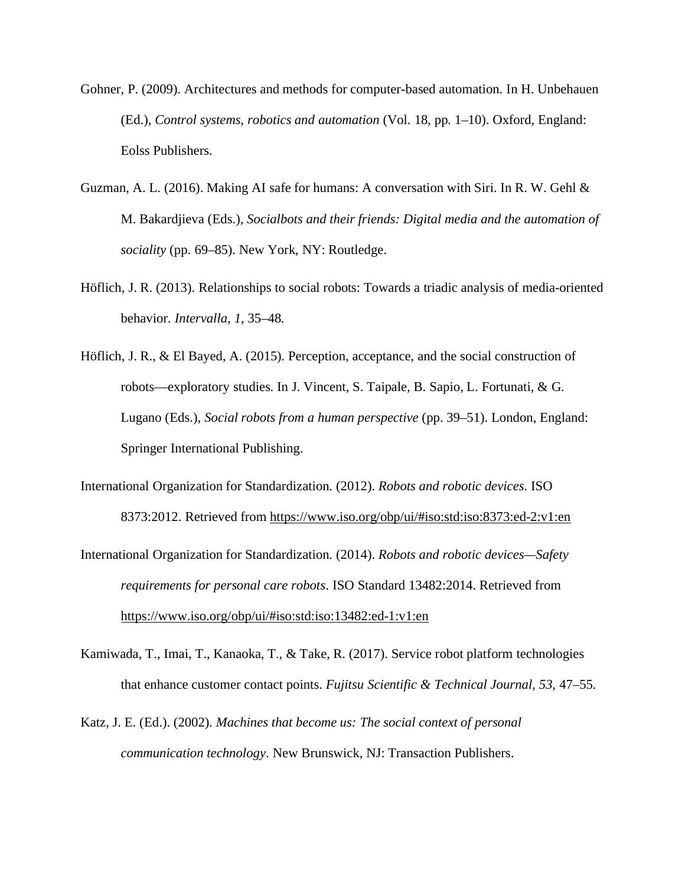- Gohner, P. (2009). Architectures and methods for computer-based automation. In H. Unbehauen (Ed.), *Control systems, robotics and automation* (Vol. 18, pp. 1–10). Oxford, England: Eolss Publishers.
- Guzman, A. L. (2016). Making AI safe for humans: A conversation with Siri. In R. W. Gehl & M. Bakardjieva (Eds.), *Socialbots and their friends: Digital media and the automation of sociality* (pp. 69–85). New York, NY: Routledge.
- Höflich, J. R. (2013). Relationships to social robots: Towards a triadic analysis of media-oriented behavior. *Intervalla*, *1*, 35–48.
- Höflich, J. R., & El Bayed, A. (2015). Perception, acceptance, and the social construction of robots—exploratory studies. In J. Vincent, S. Taipale, B. Sapio, L. Fortunati, & G. Lugano (Eds.), *Social robots from a human perspective* (pp. 39–51). London, England: Springer International Publishing.
- International Organization for Standardization. (2012). *Robots and robotic devices*. ISO 8373:2012. Retrieved from <https://www.iso.org/obp/ui/#iso:std:iso:8373:ed-2:v1:en>
- International Organization for Standardization. (2014). *Robots and robotic devices—Safety requirements for personal care robots*. ISO Standard 13482:2014. Retrieved from <https://www.iso.org/obp/ui/#iso:std:iso:13482:ed-1:v1:en>
- Kamiwada, T., Imai, T., Kanaoka, T., & Take, R. (2017). Service robot platform technologies that enhance customer contact points. *Fujitsu Scientific & Technical Journal*, *53*, 47–55.
- Katz, J. E. (Ed.). (2002). *Machines that become us: The social context of personal communication technology*. New Brunswick, NJ: Transaction Publishers.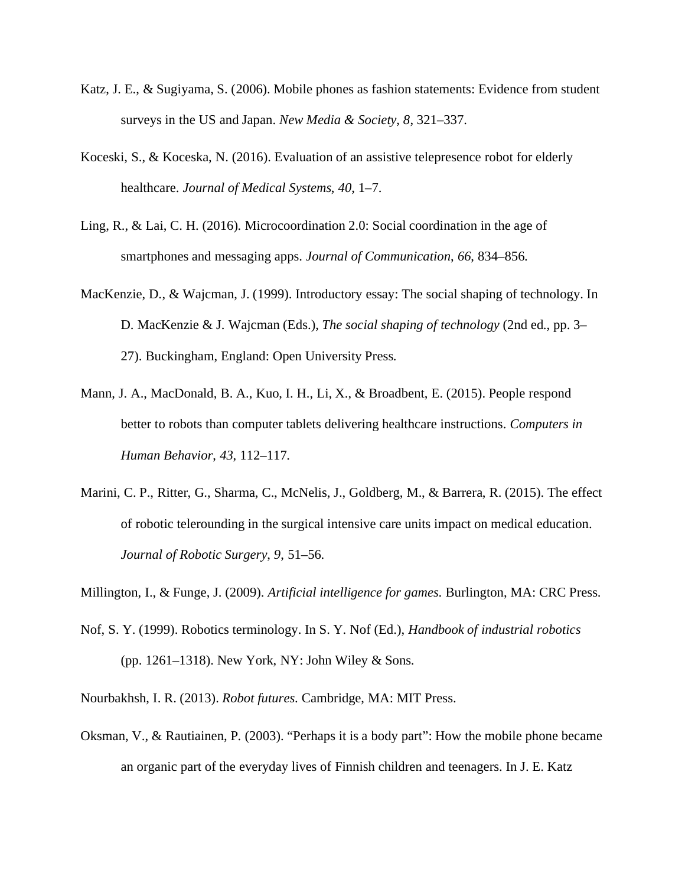- Katz, J. E., & Sugiyama, S. (2006). Mobile phones as fashion statements: Evidence from student surveys in the US and Japan. *New Media & Society*, *8*, 321–337.
- Koceski, S., & Koceska, N. (2016). Evaluation of an assistive telepresence robot for elderly healthcare. *Journal of Medical Systems*, *40*, 1–7.
- Ling, R., & Lai, C. H. (2016). Microcoordination 2.0: Social coordination in the age of smartphones and messaging apps. *Journal of Communication*, *66*, 834–856.
- MacKenzie, D., & Wajcman, J. (1999). Introductory essay: The social shaping of technology. In D. MacKenzie & J. Wajcman (Eds.), *The social shaping of technology* (2nd ed., pp. 3– 27). Buckingham, England: Open University Press.
- Mann, J. A., MacDonald, B. A., Kuo, I. H., Li, X., & Broadbent, E. (2015). People respond better to robots than computer tablets delivering healthcare instructions. *Computers in Human Behavior*, *43*, 112–117.
- Marini, C. P., Ritter, G., Sharma, C., McNelis, J., Goldberg, M., & Barrera, R. (2015). The effect of robotic telerounding in the surgical intensive care units impact on medical education. *Journal of Robotic Surgery*, *9*, 51–56.

Millington, I., & Funge, J. (2009). *Artificial intelligence for games*. Burlington, MA: CRC Press.

- Nof, S. Y. (1999). Robotics terminology. In S. Y. Nof (Ed.), *Handbook of industrial robotics* (pp. 1261–1318). New York, NY: John Wiley & Sons.
- Nourbakhsh, I. R. (2013). *Robot futures*. Cambridge, MA: MIT Press.
- Oksman, V., & Rautiainen, P. (2003). "Perhaps it is a body part": How the mobile phone became an organic part of the everyday lives of Finnish children and teenagers. In J. E. Katz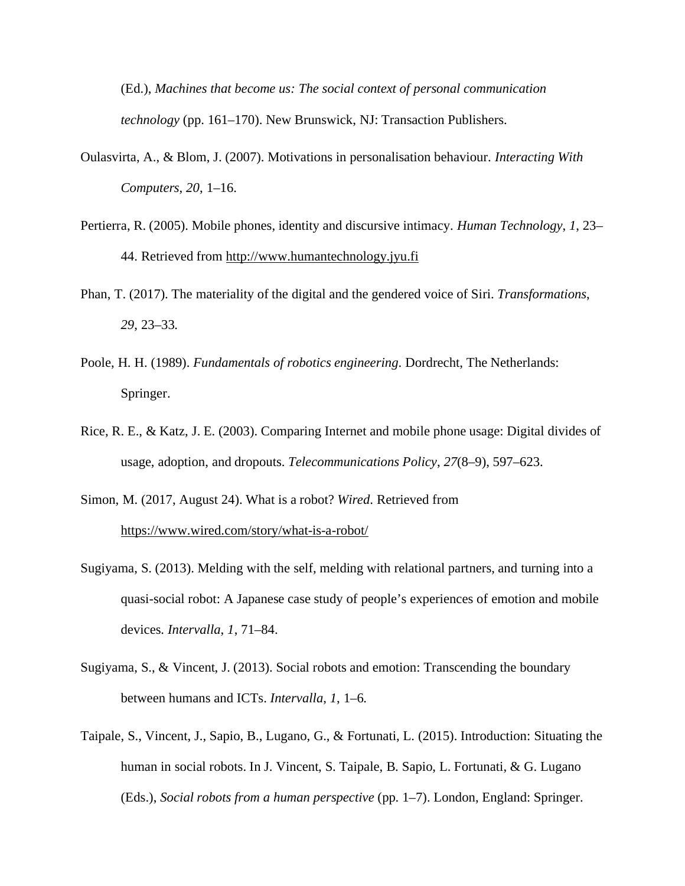(Ed.), *Machines that become us: The social context of personal communication technology* (pp. 161–170). New Brunswick, NJ: Transaction Publishers.

- Oulasvirta, A., & Blom, J. (2007). Motivations in personalisation behaviour. *Interacting With Computers*, *20*, 1–16.
- Pertierra, R. (2005). Mobile phones, identity and discursive intimacy. *Human Technology*, *1*, 23– 44. Retrieved from [http://www.humantechnology.jyu.fi](http://www.humantechnology.jyu.fi/)
- Phan, T. (2017). The materiality of the digital and the gendered voice of Siri. *Transformations*, *29*, 23–33.
- Poole, H. H. (1989). *Fundamentals of robotics engineering*. Dordrecht, The Netherlands: Springer.
- Rice, R. E., & Katz, J. E. (2003). Comparing Internet and mobile phone usage: Digital divides of usage, adoption, and dropouts. *Telecommunications Policy*, *27*(8–9), 597–623.

Simon, M. (2017, August 24). What is a robot? *Wired*. Retrieved from <https://www.wired.com/story/what-is-a-robot/>

- Sugiyama, S. (2013). Melding with the self, melding with relational partners, and turning into a quasi-social robot: A Japanese case study of people's experiences of emotion and mobile devices. *Intervalla*, *1*, 71–84.
- Sugiyama, S., & Vincent, J. (2013). Social robots and emotion: Transcending the boundary between humans and ICTs. *Intervalla*, *1*, 1–6.
- Taipale, S., Vincent, J., Sapio, B., Lugano, G., & Fortunati, L. (2015). Introduction: Situating the human in social robots. In J. Vincent, S. Taipale, B. Sapio, L. Fortunati, & G. Lugano (Eds.), *Social robots from a human perspective* (pp. 1–7). London, England: Springer.